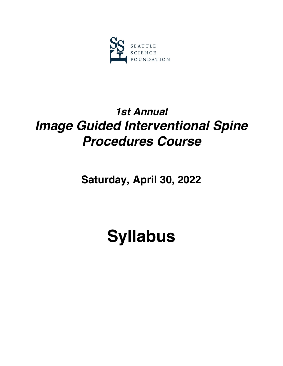

## *1st Annual Image Guided Interventional Spine Procedures Course*

**Saturday, April 30, 2022**

# **Syllabus**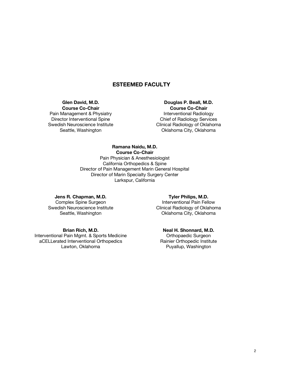### **ESTEEMED FACULTY**

#### **Glen David, M.D. Course Co-Chair**

Pain Management & Physiatry Director Interventional Spine Swedish Neuroscience Institute Seattle, Washington

**Douglas P. Beall, M.D. Course Co-Chair** Interventional Radiology Chief of Radiology Services Clinical Radiology of Oklahoma Oklahoma City, Oklahoma

#### **Ramana Naidu, M.D.**

**Course Co-Chair**

Pain Physician & Anesthesiologist California Orthopedics & Spine Director of Pain Management Marin General Hospital Director of Marin Specialty Surgery Center Larkspur, California

#### **Jens R. Chapman, M.D.**

Complex Spine Surgeon Swedish Neuroscience Institute Seattle, Washington

#### **Brian Rich, M.D.**

Interventional Pain Mgmt. & Sports Medicine aCELLerated Interventional Orthopedics Lawton, Oklahoma

#### **Tyler Philips, M.D.**  Interventional Pain Fellow Clinical Radiology of Oklahoma Oklahoma City, Oklahoma

**Neal H. Shonnard, M.D.** Orthopaedic Surgeon Rainier Orthopedic Institute Puyallup, Washington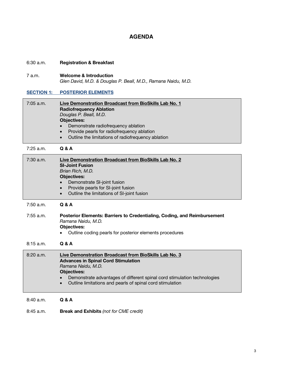## **AGENDA**

| 6:30 a.m.         | <b>Registration &amp; Breakfast</b>                                                                                                                                                                                                                                                             |
|-------------------|-------------------------------------------------------------------------------------------------------------------------------------------------------------------------------------------------------------------------------------------------------------------------------------------------|
| 7 a.m.            | <b>Welcome &amp; Introduction</b><br>Glen David, M.D. & Douglas P. Beall, M.D., Ramana Naidu, M.D.                                                                                                                                                                                              |
| <b>SECTION 1:</b> | <b>POSTERIOR ELEMENTS</b>                                                                                                                                                                                                                                                                       |
| 7:05 a.m.         | Live Demonstration Broadcast from BioSkills Lab No. 1<br><b>Radiofrequency Ablation</b><br>Douglas P. Beall, M.D.<br><b>Objectives:</b><br>Demonstrate radiofrequency ablation<br>Provide pearls for radiofrequency ablation<br>$\bullet$<br>Outline the limitations of radiofrequency ablation |
| 7:25 a.m.         | <b>Q &amp; A</b>                                                                                                                                                                                                                                                                                |
| 7:30 a.m.         | Live Demonstration Broadcast from BioSkills Lab No. 2<br><b>SI-Joint Fusion</b><br>Brian Rich, M.D.<br><b>Objectives:</b><br>Demonstrate SI-joint fusion<br>$\bullet$<br>Provide pearls for SI-joint fusion<br>$\bullet$<br>Outline the limitations of SI-joint fusion<br>$\bullet$             |
| 7:50 a.m.         | <b>Q &amp; A</b>                                                                                                                                                                                                                                                                                |
| 7:55 a.m.         | Posterior Elements: Barriers to Credentialing, Coding, and Reimbursement<br>Ramana Naidu, M.D.<br><b>Objectives:</b><br>Outline coding pearls for posterior elements procedures                                                                                                                 |
| 8:15 a.m.         | <b>Q &amp; A</b>                                                                                                                                                                                                                                                                                |
| 8:20 a.m.         | Live Demonstration Broadcast from BioSkills Lab No. 3<br><b>Advances in Spinal Cord Stimulation</b><br>Ramana Naidu, M.D.<br><b>Objectives:</b><br>Demonstrate advantages of different spinal cord stimulation technologies<br>Outline limitations and pearls of spinal cord stimulation        |
| 8:40 a.m.         | <b>Q &amp; A</b>                                                                                                                                                                                                                                                                                |

8:45 a.m. **Break and Exhibits** *(not for CME credit)*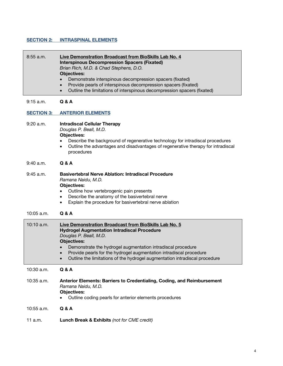#### **SECTION 2: INTRASPINAL ELEMENTS**

| $8:55$ a.m.       | Live Demonstration Broadcast from BioSkills Lab No. 4<br><b>Interspinous Decompression Spacers (Fixated)</b><br>Brian Rich, M.D. & Chad Stephens, D.O.<br><b>Objectives:</b><br>Demonstrate interspinous decompression spacers (fixated)<br>Provide pearls of interspinous decompression spacers (fixated)<br>Outline the limitations of interspinous decompression spacers (fixated) |
|-------------------|---------------------------------------------------------------------------------------------------------------------------------------------------------------------------------------------------------------------------------------------------------------------------------------------------------------------------------------------------------------------------------------|
| 9:15 a.m.         | <b>Q &amp; A</b>                                                                                                                                                                                                                                                                                                                                                                      |
| <b>SECTION 3:</b> | <b>ANTERIOR ELEMENTS</b>                                                                                                                                                                                                                                                                                                                                                              |
| 9:20 a.m.         | <b>Intradiscal Cellular Therapy</b><br>Douglas P. Beall, M.D.<br><b>Objectives:</b><br>Describe the background of regenerative technology for intradiscal procedures<br>Outline the advantages and disadvantages of regenerative therapy for intradiscal<br>٠<br>procedures                                                                                                           |
| 9:40 a.m.         | <b>Q &amp; A</b>                                                                                                                                                                                                                                                                                                                                                                      |
| $9:45$ a.m.       | <b>Basivertebral Nerve Ablation: Intradiscal Procedure</b><br>Ramana Naidu, M.D.<br><b>Objectives:</b><br>Outline how vertebrogenic pain presents<br>Describe the anatomy of the basivertebral nerve<br>٠<br>Explain the procedure for basivertebral nerve ablation<br>٠                                                                                                              |
| 10:05 a.m.        | <b>Q &amp; A</b>                                                                                                                                                                                                                                                                                                                                                                      |
| 10:10 a.m.        | Live Demonstration Broadcast from BioSkills Lab No. 5<br><b>Hydrogel Augmentation Intradiscal Procedure</b><br>Douglas P. Beall, M.D.<br><b>Objectives:</b><br>Demonstrate the hydrogel augmentation intradiscal procedure<br>Provide pearls for the hydrogel augmentation intradiscal procedure<br>Outline the limitations of the hydrogel augmentation intradiscal procedure        |
| $10:30$ a.m.      | <b>Q &amp; A</b>                                                                                                                                                                                                                                                                                                                                                                      |
| 10:35 a.m.        | Anterior Elements: Barriers to Credentialing, Coding, and Reimbursement<br>Ramana Naidu, M.D.<br><b>Objectives:</b><br>Outline coding pearls for anterior elements procedures                                                                                                                                                                                                         |
| 10:55 a.m.        | <b>Q &amp; A</b>                                                                                                                                                                                                                                                                                                                                                                      |
| 11 a.m.           | Lunch Break & Exhibits (not for CME credit)                                                                                                                                                                                                                                                                                                                                           |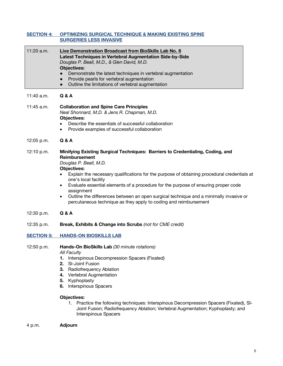| 11:20 a.m.<br>Live Demonstration Broadcast from BioSkills Lab No. 6<br>Latest Techniques in Vertebral Augmentation Side-by-Side<br>Douglas P. Beall, M.D., & Glen David, M.D.<br><b>Objectives:</b><br>Demonstrate the latest techniques in vertebral augmentation<br>Provide pearls for vertebral augmentation<br>Outline the limitations of vertebral augmentation<br>$\bullet$<br>11:40 a.m.<br>Q & A<br>11:45 a.m.<br><b>Collaboration and Spine Care Principles</b><br>Neal Shonnard, M.D. & Jens R. Chapman, M.D.<br><b>Objectives:</b><br>Describe the essentials of successful collaboration<br>$\bullet$ |  |
|-------------------------------------------------------------------------------------------------------------------------------------------------------------------------------------------------------------------------------------------------------------------------------------------------------------------------------------------------------------------------------------------------------------------------------------------------------------------------------------------------------------------------------------------------------------------------------------------------------------------|--|
|                                                                                                                                                                                                                                                                                                                                                                                                                                                                                                                                                                                                                   |  |
|                                                                                                                                                                                                                                                                                                                                                                                                                                                                                                                                                                                                                   |  |
| Provide examples of successful collaboration<br>$\bullet$                                                                                                                                                                                                                                                                                                                                                                                                                                                                                                                                                         |  |
| <b>Q &amp; A</b><br>12:05 p.m.                                                                                                                                                                                                                                                                                                                                                                                                                                                                                                                                                                                    |  |
| 12:10 p.m.<br>Minifying Existing Surgical Techniques: Barriers to Credentialing, Coding, and<br><b>Reimbursement</b><br>Douglas P. Beall, M.D.<br><b>Objectives:</b><br>Explain the necessary qualifications for the purpose of obtaining procedural credentials at<br>one's local facility<br>Evaluate essential elements of a procedure for the purpose of ensuring proper code<br>$\bullet$<br>assignment<br>Outline the differences between an open surgical technique and a minimally invasive or<br>$\bullet$<br>percutaneous technique as they apply to coding and reimbursement                           |  |
| <b>Q &amp; A</b><br>12:30 p.m.                                                                                                                                                                                                                                                                                                                                                                                                                                                                                                                                                                                    |  |
| Break, Exhibits & Change into Scrubs (not for CME credit)<br>12:35 p.m.                                                                                                                                                                                                                                                                                                                                                                                                                                                                                                                                           |  |
| <b>SECTION 5:</b><br><b>HANDS-ON BIOSKILLS LAB</b>                                                                                                                                                                                                                                                                                                                                                                                                                                                                                                                                                                |  |
| 12:50 p.m.<br>Hands-On BioSkills Lab (30 minute rotations)<br><b>All Faculty</b><br>Interspinous Decompression Spacers (Fixated)<br>1.<br>2.<br>SI-Joint Fusion<br>3. Radiofrequency Ablation<br>4. Vertebral Augmentation<br>5. Kyphoplasty<br><b>Interspinous Spacers</b><br>6.<br><b>Objectives:</b><br>1. Practice the following techniques: Interspinous Decompression Spacers (Fixated), SI-<br>Joint Fusion; Radiofrequency Ablation; Vertebral Augmentation; Kyphoplasty; and<br><b>Interspinous Spacers</b>                                                                                              |  |

4 p.m. **Adjourn**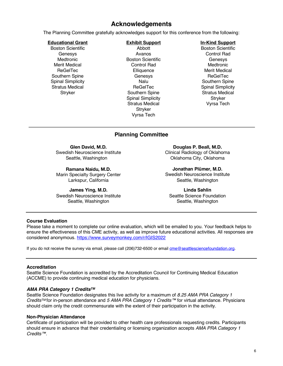## **Acknowledgements**

The Planning Committee gratefully acknowledges support for this conference from the following:

#### **Educational Grant**

Boston Scientific **Genesys Medtronic** Merit Medical **ReGelTec** Southern Spine Spinal Simplicity Stratus Medical **Stryker** 

#### **Exhibit Support**

Abbott Avanos Boston Scientific Control Rad **Elliquence** Genesys Nalu ReGelTec Southern Spine Spinal Simplicity Stratus Medical **Stryker** Vyrsa Tech

#### **In-Kind Support**

Boston Scientific Control Rad **Genesys Medtronic** Merit Medical **ReGelTec** Southern Spine Spinal Simplicity Stratus Medical **Stryker** Vyrsa Tech

## **Planning Committee**

**Glen David, M.D.**

Swedish Neuroscience Institute Seattle, Washington

**Ramana Naidu, M.D.** Marin Specialty Surgery Center Larkspur, California

**James Ying, M.D.** Swedish Neuroscience Institute Seattle, Washington

**Douglas P. Beall, M.D.** Clinical Radiology of Oklahoma Oklahoma City, Oklahoma

**Jonathan Plümer, M.D.** Swedish Neuroscience Institute Seattle, Washington

**Linda Sahlin** Seattle Science Foundation Seattle, Washington

#### **Course Evaluation**

Please take a moment to complete our online evaluation, which will be emailed to you. Your feedback helps to ensure the effectiveness of this CME activity, as well as improve future educational activities. All responses are considered anonymous. https://www.surveymonkey.com/r/IGIS2022

If you do not receive the survey via email, please call (206)732-6500 or email cme@seattlesciencefoundation.org.

#### **Accreditation**

Seattle Science Foundation is accredited by the Accreditation Council for Continuing Medical Education (ACCME) to provide continuing medical education for physicians.

#### *AMA PRA Category 1 CreditsTM*

Seattle Science Foundation designates this live activity for a maximum of *8.25 AMA PRA Category 1 CreditsTM* for in-person attendance and *5 AMA PRA Category 1 Credits™* for virtual attendance. Physicians should claim only the credit commensurate with the extent of their participation in the activity.

#### **Non-Physician Attendance**

Certificate of participation will be provided to other health care professionals requesting credits. Participants should ensure in advance that their credentialing or licensing organization accepts *AMA PRA Category 1 Credits™*.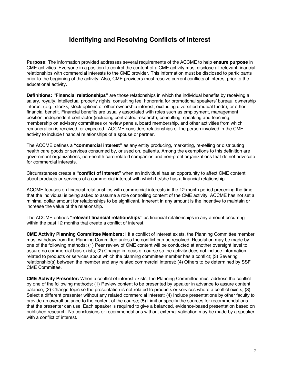## **Identifying and Resolving Conflicts of Interest**

**Purpose:** The information provided addresses several requirements of the ACCME to help **ensure purpose** in CME activities. Everyone in a position to control the content of a CME activity must disclose all relevant financial relationships with commercial interests to the CME provider. This information must be disclosed to participants prior to the beginning of the activity. Also, CME providers must resolve current conflicts of interest prior to the educational activity.

**Definitions: "Financial relationships"** are those relationships in which the individual benefits by receiving a salary, royalty, intellectual property rights, consulting fee, honoraria for promotional speakers' bureau, ownership interest (e.g., stocks, stock options or other ownership interest, excluding diversified mutual funds), or other financial benefit. Financial benefits are usually associated with roles such as employment, management position, independent contractor (including contracted research), consulting, speaking and teaching, membership on advisory committees or review panels, board membership, and other activities from which remuneration is received, or expected. ACCME considers relationships of the person involved in the CME activity to include financial relationships of a spouse or partner.

The ACCME defines a **"commercial interest"** as any entity producing, marketing, re-selling or distributing health care goods or services consumed by, or used on, patients. Among the exemptions to this definition are government organizations, non-health care related companies and non-profit organizations that do not advocate for commercial interests.

Circumstances create a **"conflict of interest"** when an individual has an opportunity to affect CME content about products or services of a commercial interest with which he/she has a financial relationship.

ACCME focuses on financial relationships with commercial interests in the 12-month period preceding the time that the individual is being asked to assume a role controlling content of the CME activity. ACCME has not set a minimal dollar amount for relationships to be significant. Inherent in any amount is the incentive to maintain or increase the value of the relationship.

The ACCME defines **"relevant financial relationships"** as financial relationships in any amount occurring within the past 12 months that create a conflict of interest.

**CME Activity Planning Committee Members:** I If a conflict of interest exists, the Planning Committee member must withdraw from the Planning Committee unless the conflict can be resolved. Resolution may be made by one of the following methods: (1) Peer review of CME content will be conducted at another oversight level to assure no commercial bias exists; (2) Change in focus of course so the activity does not include information related to products or services about which the planning committee member has a conflict; (3) Severing relationship(s) between the member and any related commercial interest; (4) Others to be determined by SSF CME Committee.

**CME Activity Presenter:** When a conflict of interest exists, the Planning Committee must address the conflict by one of the following methods: (1) Review content to be presented by speaker in advance to assure content balance; (2) Change topic so the presentation is not related to products or services where a conflict exists; (3) Select a different presenter without any related commercial interest; (4) Include presentations by other faculty to provide an overall balance to the content of the course; (5) Limit or specify the sources for recommendations that the presenter can use. Each speaker is required to give a balanced, evidence-based presentation based on published research. No conclusions or recommendations without external validation may be made by a speaker with a conflict of interest.